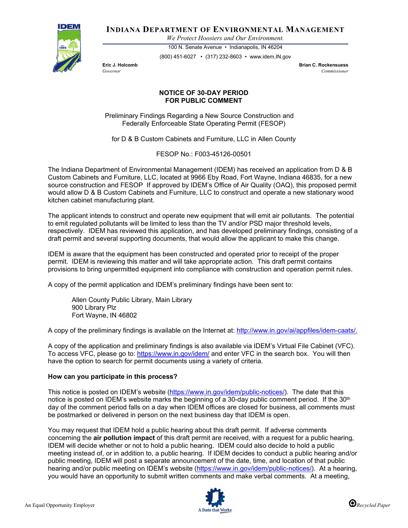

**INDIANA DEPARTMENT OF ENVIRONMENTAL MANAGEMENT**

*We Protect Hoosiers and Our Environment.*

100 N. Senate Avenue • Indianapolis, IN 46204 (800) 451-6027 • (317) 232-8603 • www.idem.IN.gov

**Eric J. Holcomb Brian C. Rockensuess** *Governor Commissioner* 

## **NOTICE OF 30-DAY PERIOD FOR PUBLIC COMMENT**

Preliminary Findings Regarding a New Source Construction and Federally Enforceable State Operating Permit (FESOP)

for D & B Custom Cabinets and Furniture, LLC in Allen County

FESOP No.: F003-45126-00501

The Indiana Department of Environmental Management (IDEM) has received an application from D & B Custom Cabinets and Furniture, LLC, located at 9966 Eby Road, Fort Wayne, Indiana 46835, for a new source construction and FESOP If approved by IDEM's Office of Air Quality (OAQ), this proposed permit would allow D & B Custom Cabinets and Furniture, LLC to construct and operate a new stationary wood kitchen cabinet manufacturing plant.

The applicant intends to construct and operate new equipment that will emit air pollutants. The potential to emit regulated pollutants will be limited to less than the TV and/or PSD major threshold levels, respectively. IDEM has reviewed this application, and has developed preliminary findings, consisting of a draft permit and several supporting documents, that would allow the applicant to make this change.

IDEM is aware that the equipment has been constructed and operated prior to receipt of the proper permit. IDEM is reviewing this matter and will take appropriate action. This draft permit contains provisions to bring unpermitted equipment into compliance with construction and operation permit rules.

A copy of the permit application and IDEM's preliminary findings have been sent to:

Allen County Public Library, Main Library 900 Library Plz Fort Wayne, IN 46802

A copy of the preliminary findings is available on the Internet at: [http://www.in.gov/ai/appfiles/idem-caats/.](http://www.in.gov/ai/appfiles/idem-caats/)

A copy of the application and preliminary findings is also available via IDEM's Virtual File Cabinet (VFC). To access VFC, please go to:<https://www.in.gov/idem/> and enter VFC in the search box. You will then have the option to search for permit documents using a variety of criteria.

## **How can you participate in this process?**

This notice is posted on IDEM's website [\(https://www.in.gov/idem/public-notices/\)](https://www.in.gov/idem/public-notices/). The date that this notice is posted on IDEM's website marks the beginning of a 30-day public comment period. If the 30<sup>th</sup> day of the comment period falls on a day when IDEM offices are closed for business, all comments must be postmarked or delivered in person on the next business day that IDEM is open.

You may request that IDEM hold a public hearing about this draft permit. If adverse comments concerning the **air pollution impact** of this draft permit are received, with a request for a public hearing, IDEM will decide whether or not to hold a public hearing. IDEM could also decide to hold a public meeting instead of, or in addition to, a public hearing. If IDEM decides to conduct a public hearing and/or public meeting, IDEM will post a separate announcement of the date, time, and location of that public hearing and/or public meeting on IDEM's website [\(https://www.in.gov/idem/public-notices/\)](https://www.in.gov/idem/public-notices/). At a hearing, you would have an opportunity to submit written comments and make verbal comments. At a meeting,